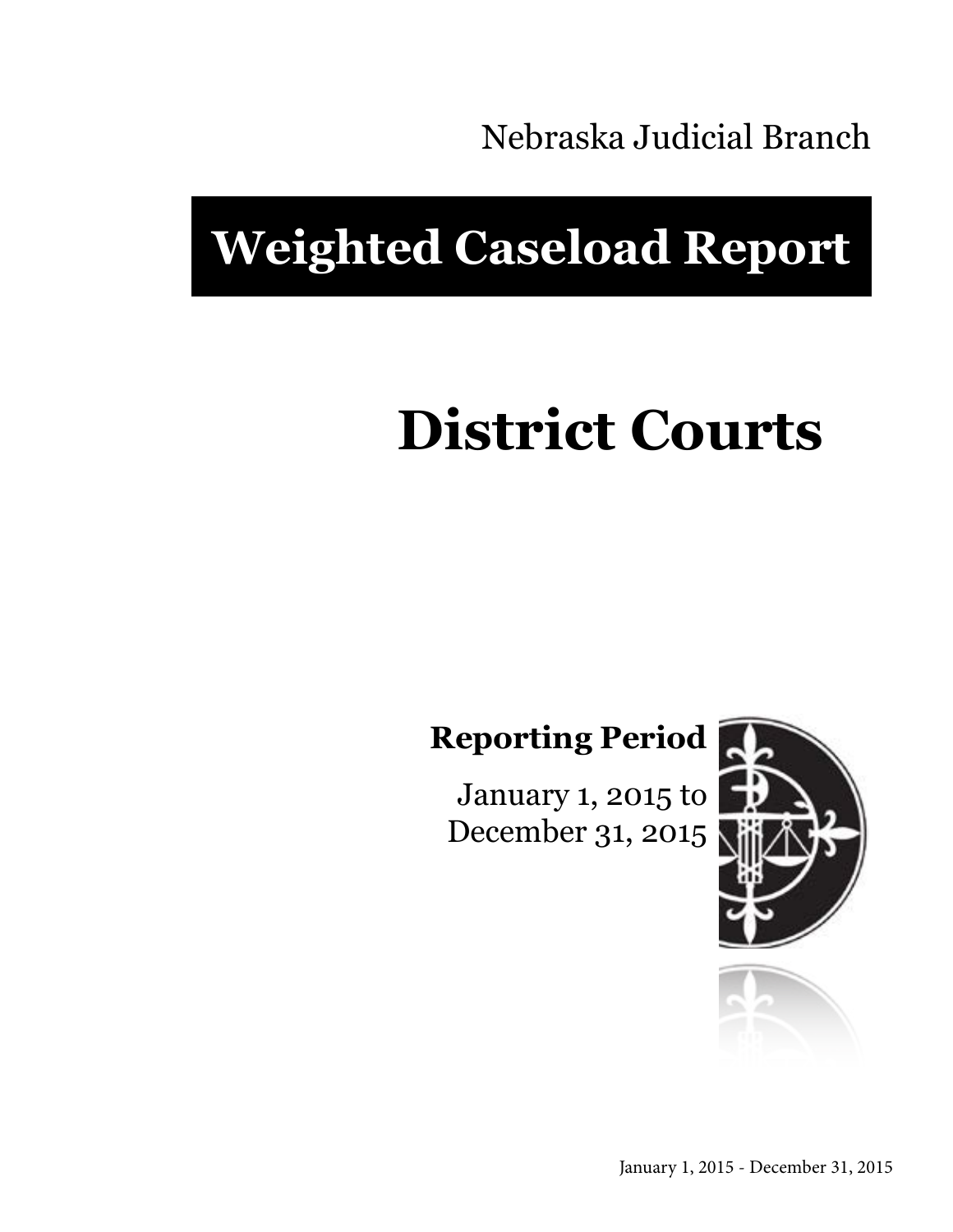Nebraska Judicial Branch

# **Weighted Caseload Report**

# **District Courts**

**Reporting Period**

January 1, 2015 to December 31, 2015



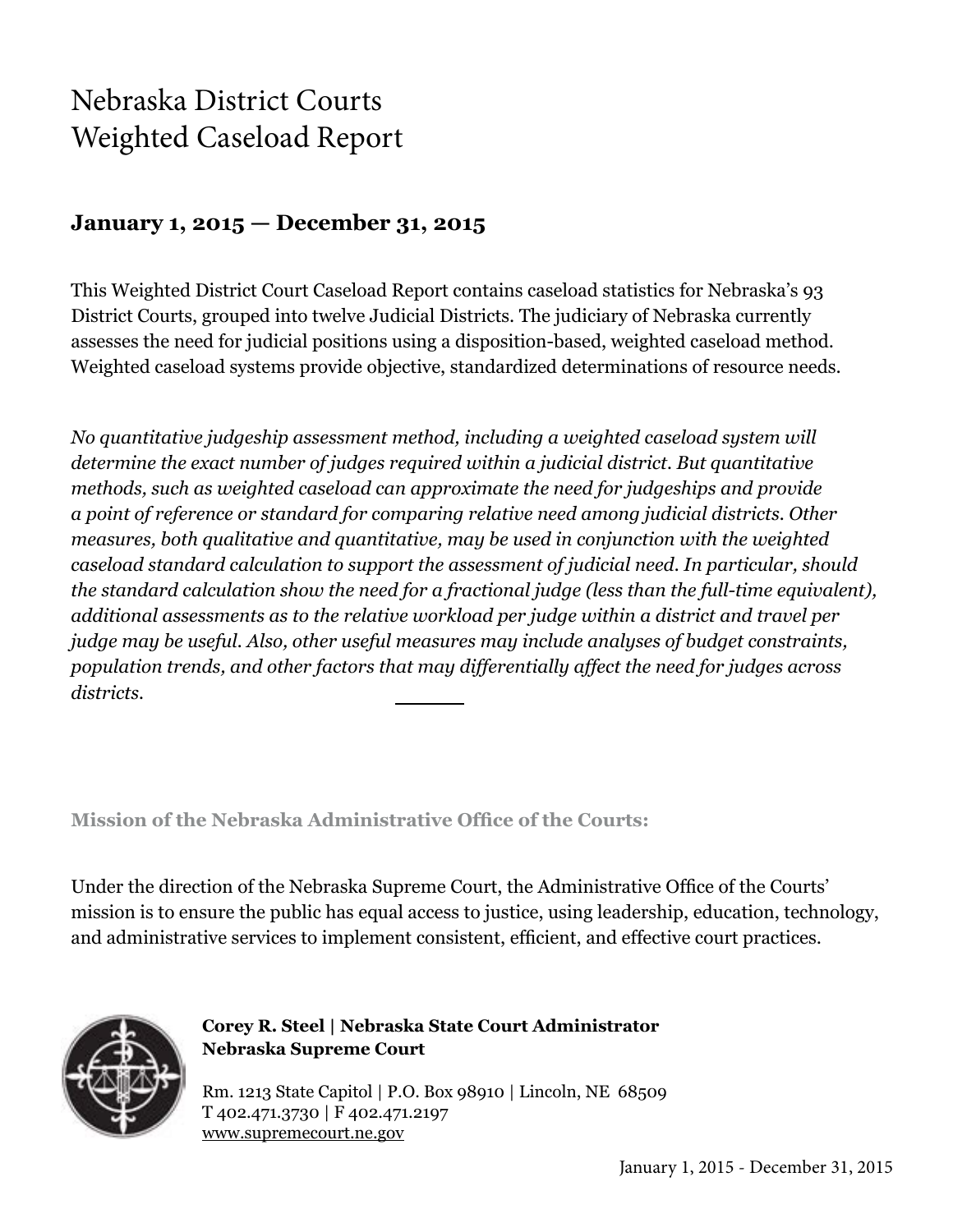## Nebraska District Courts Weighted Caseload Report

#### **January 1, 2015 — December 31, 2015**

This Weighted District Court Caseload Report contains caseload statistics for Nebraska's 93 District Courts, grouped into twelve Judicial Districts. The judiciary of Nebraska currently assesses the need for judicial positions using a disposition-based, weighted caseload method. Weighted caseload systems provide objective, standardized determinations of resource needs.

*No quantitative judgeship assessment method, including a weighted caseload system will determine the exact number of judges required within a judicial district. But quantitative methods, such as weighted caseload can approximate the need for judgeships and provide a point of reference or standard for comparing relative need among judicial districts. Other measures, both qualitative and quantitative, may be used in conjunction with the weighted caseload standard calculation to support the assessment of judicial need. In particular, should the standard calculation show the need for a fractional judge (less than the full-time equivalent), additional assessments as to the relative workload per judge within a district and travel per judge may be useful. Also, other useful measures may include analyses of budget constraints, population trends, and other factors that may differentially affect the need for judges across districts.*

**Mission of the Nebraska Administrative Office of the Courts:**

Under the direction of the Nebraska Supreme Court, the Administrative Office of the Courts' mission is to ensure the public has equal access to justice, using leadership, education, technology, and administrative services to implement consistent, efficient, and effective court practices.



**Corey R. Steel | Nebraska State Court Administrator Nebraska Supreme Court**

Rm. 1213 State Capitol | P.O. Box 98910 | Lincoln, NE 68509 T 402.471.3730 | F 402.471.2197 www.supremecourt.ne.gov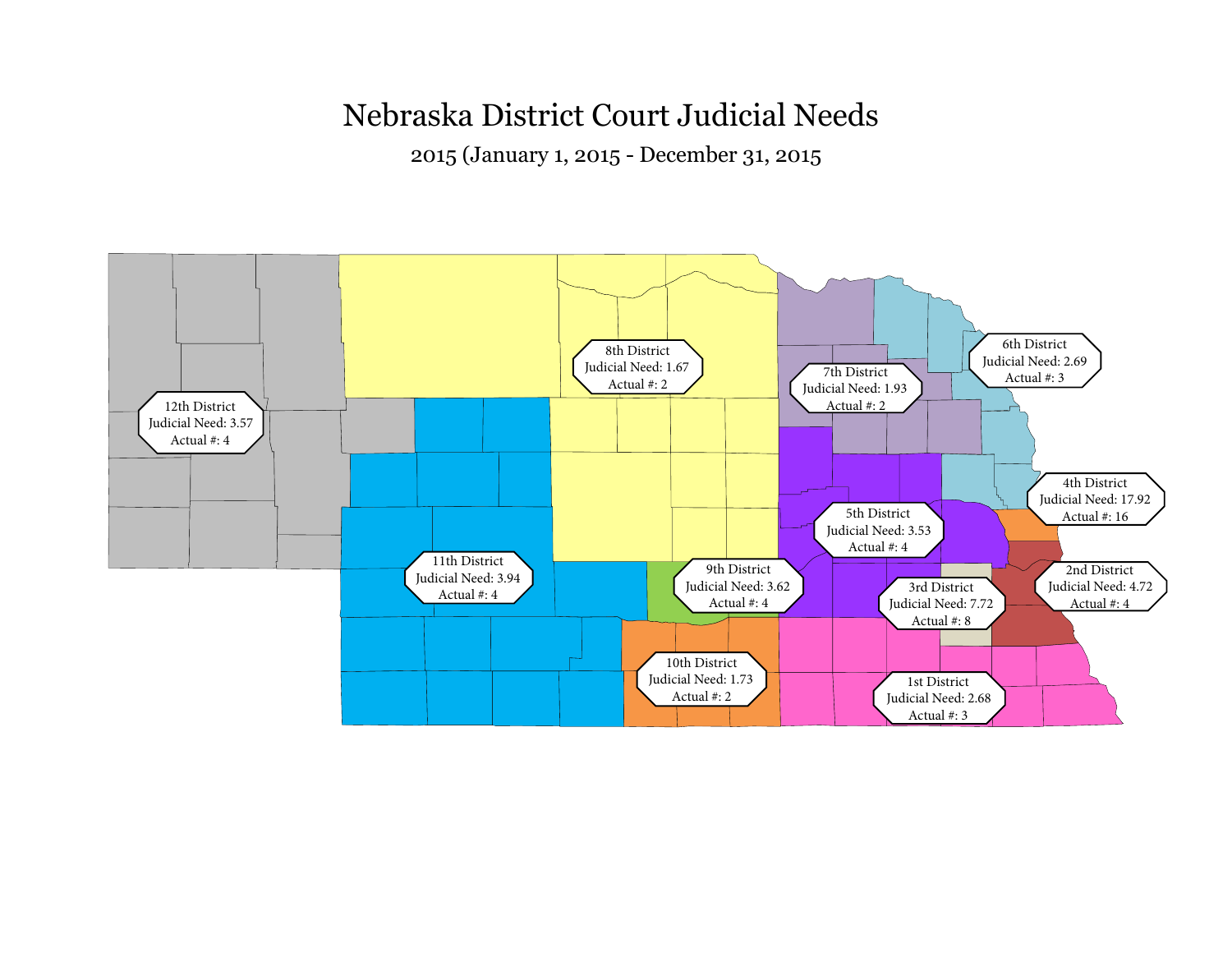## Nebraska District Court Judicial Needs

2015 (January 1, 2015 - December 31, 2015

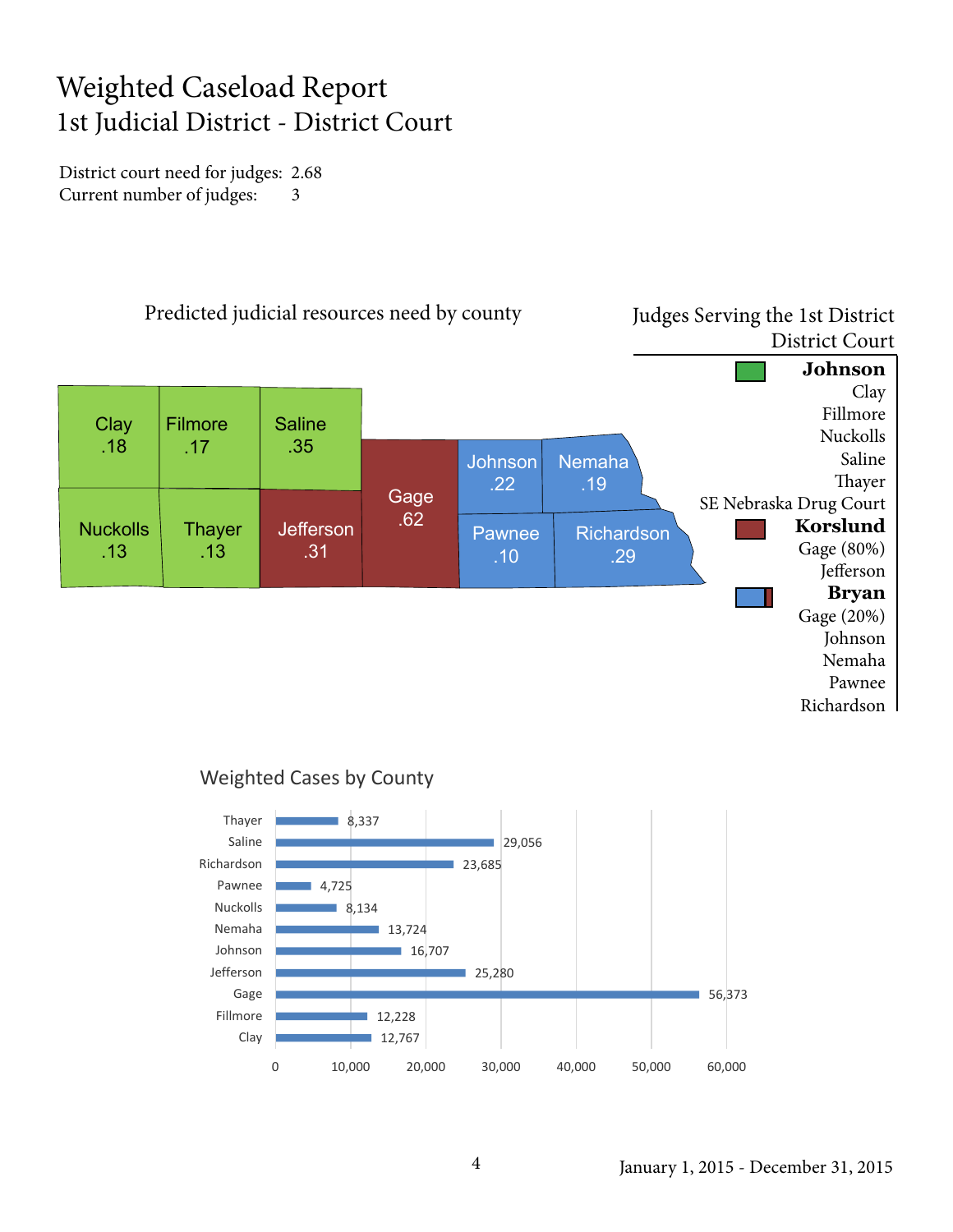## Weighted Caseload Report 1st Judicial District - District Court

District court need for judges: 2.68 Current number of judges: 3



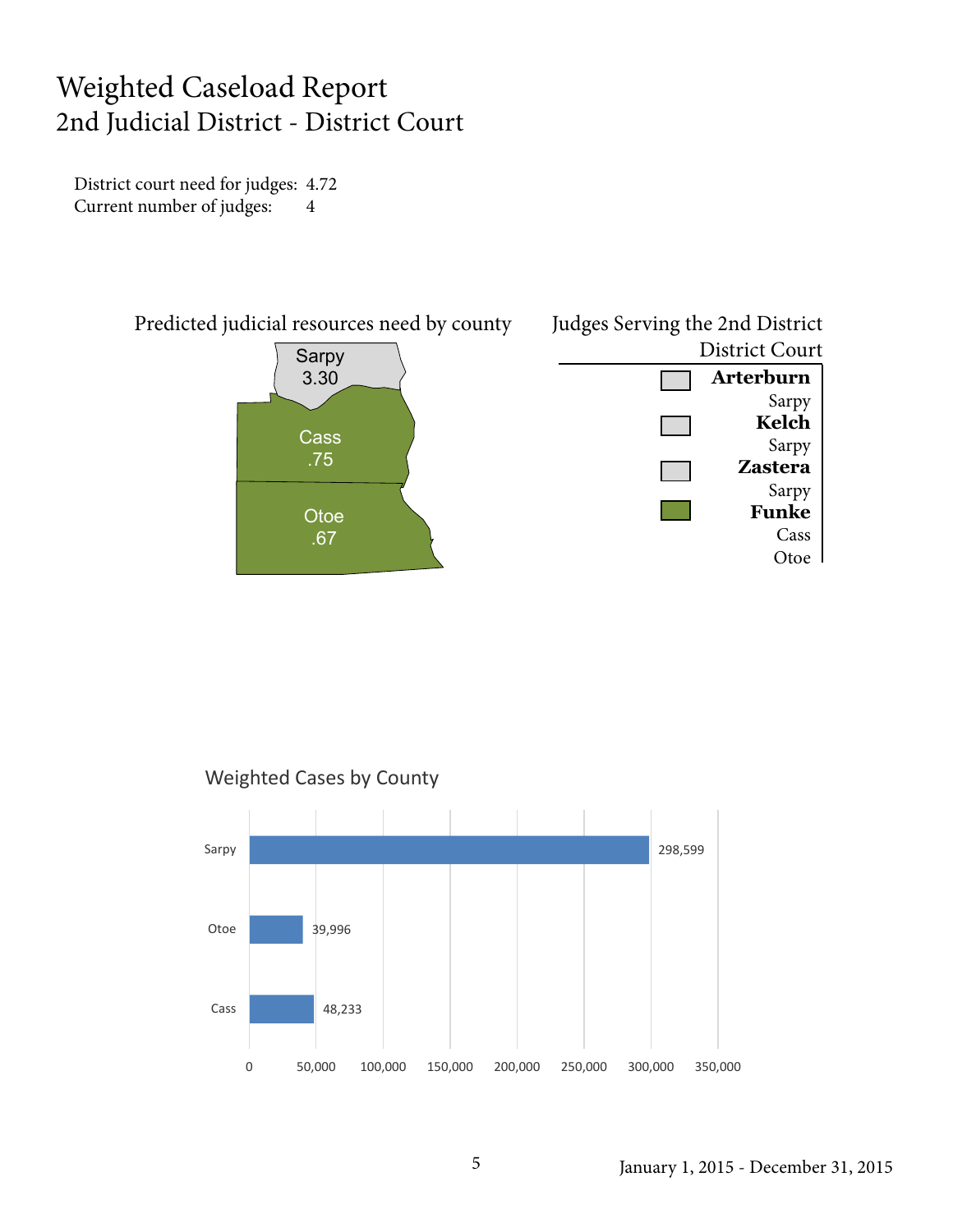#### Weighted Caseload Report 2nd Judicial District - District Court

District court need for judges: 4.72 Current number of judges: 4





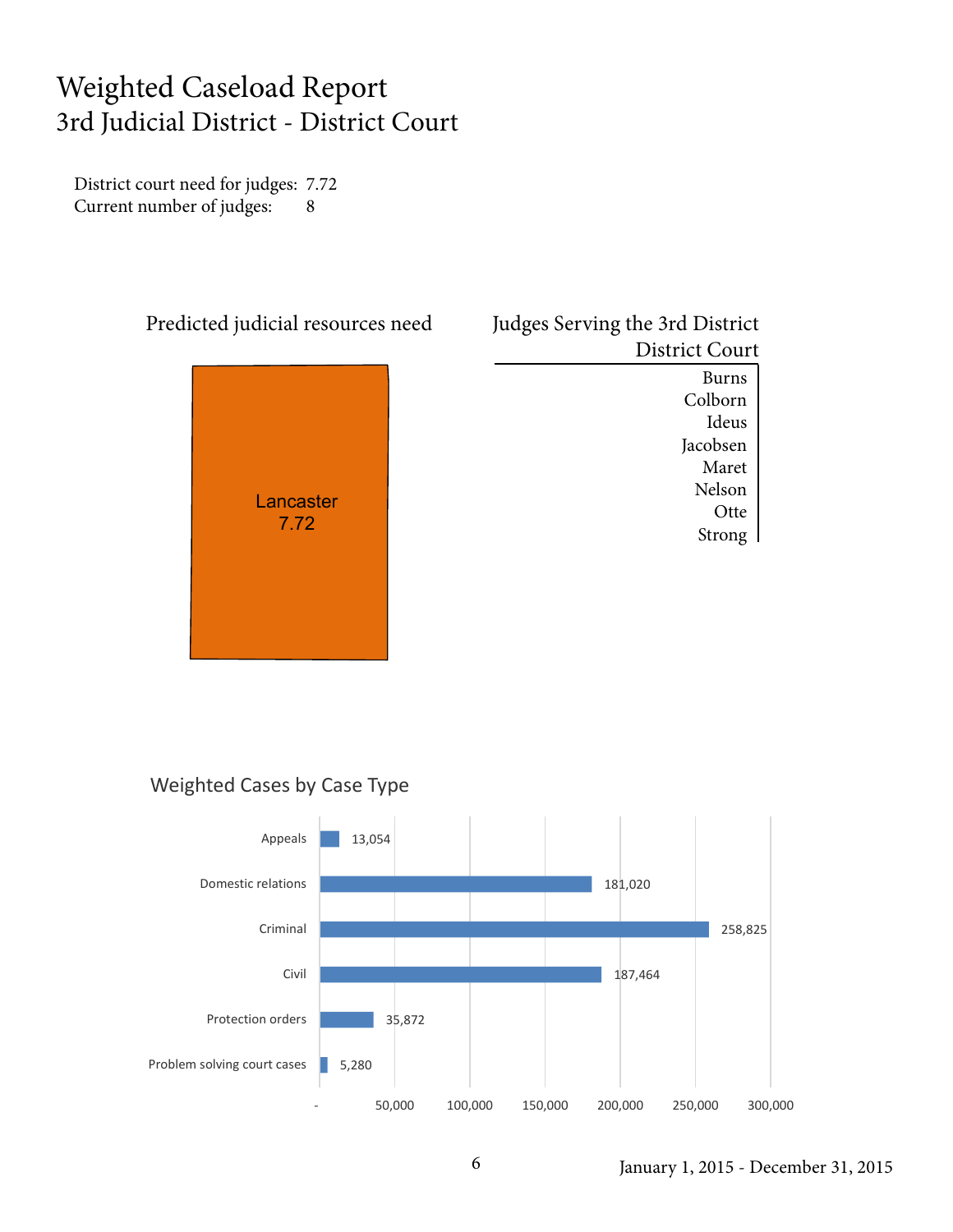#### Weighted Caseload Report 3rd Judicial District - District Court

District court need for judges: 7.72 Current number of judges: 8



| Judges Serving the 3rd District |
|---------------------------------|
| <b>District Court</b>           |
| Burns                           |

Colborn Ideus Jacobsen Maret Nelson **Otte** Strong

#### Weighted Cases by Case Type



January 1, 2015 - December 31, 2015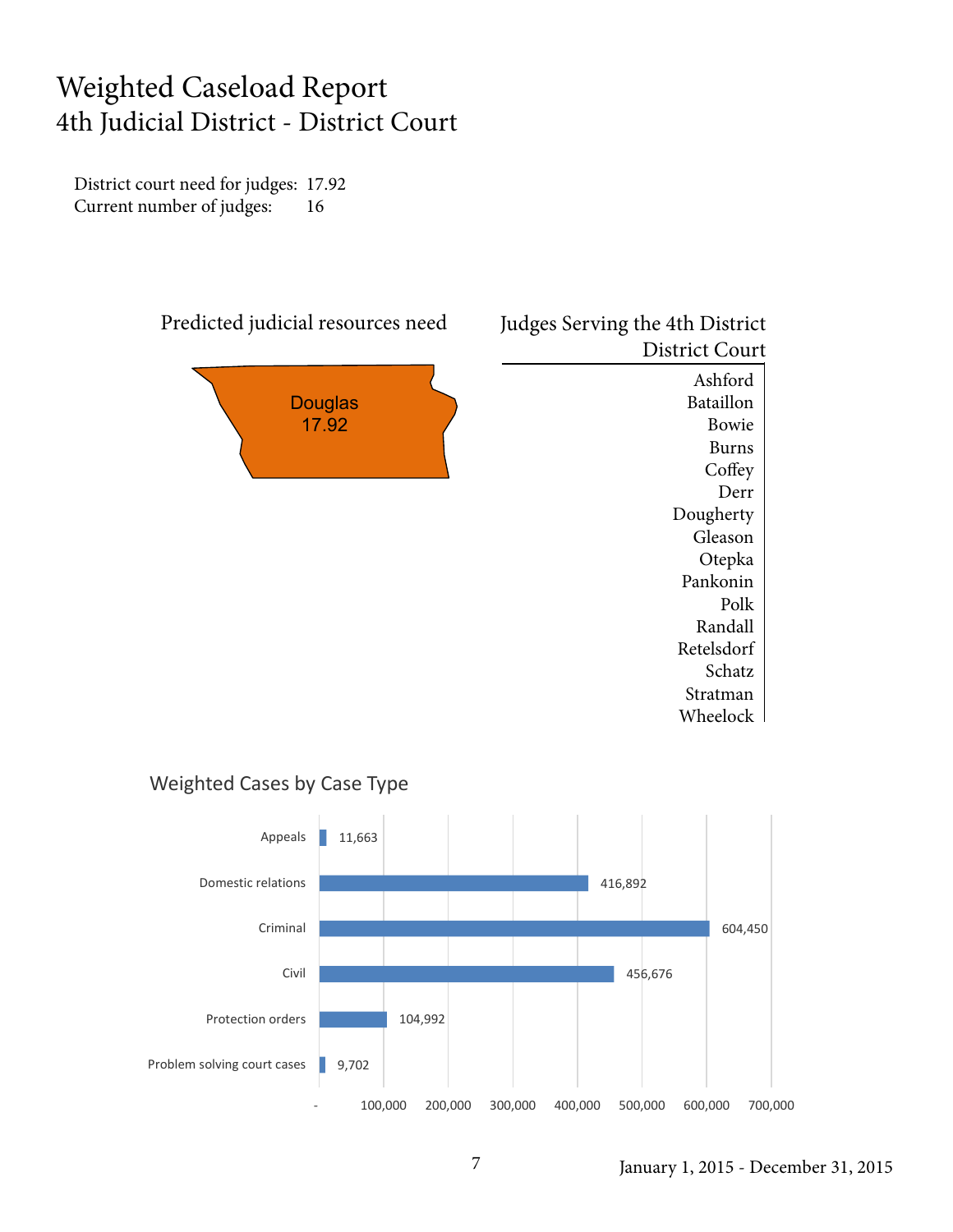#### Weighted Caseload Report 4th Judicial District - District Court

District court need for judges: 17.92 Current number of judges: 16



#### Judges Serving the 4th District District Court Ashford Bataillon

Bowie Burns **Coffey** Derr Dougherty Gleason Otepka Pankonin Polk Randall Retelsdorf Schatz Stratman Wheelock

#### Weighted Cases by Case Type

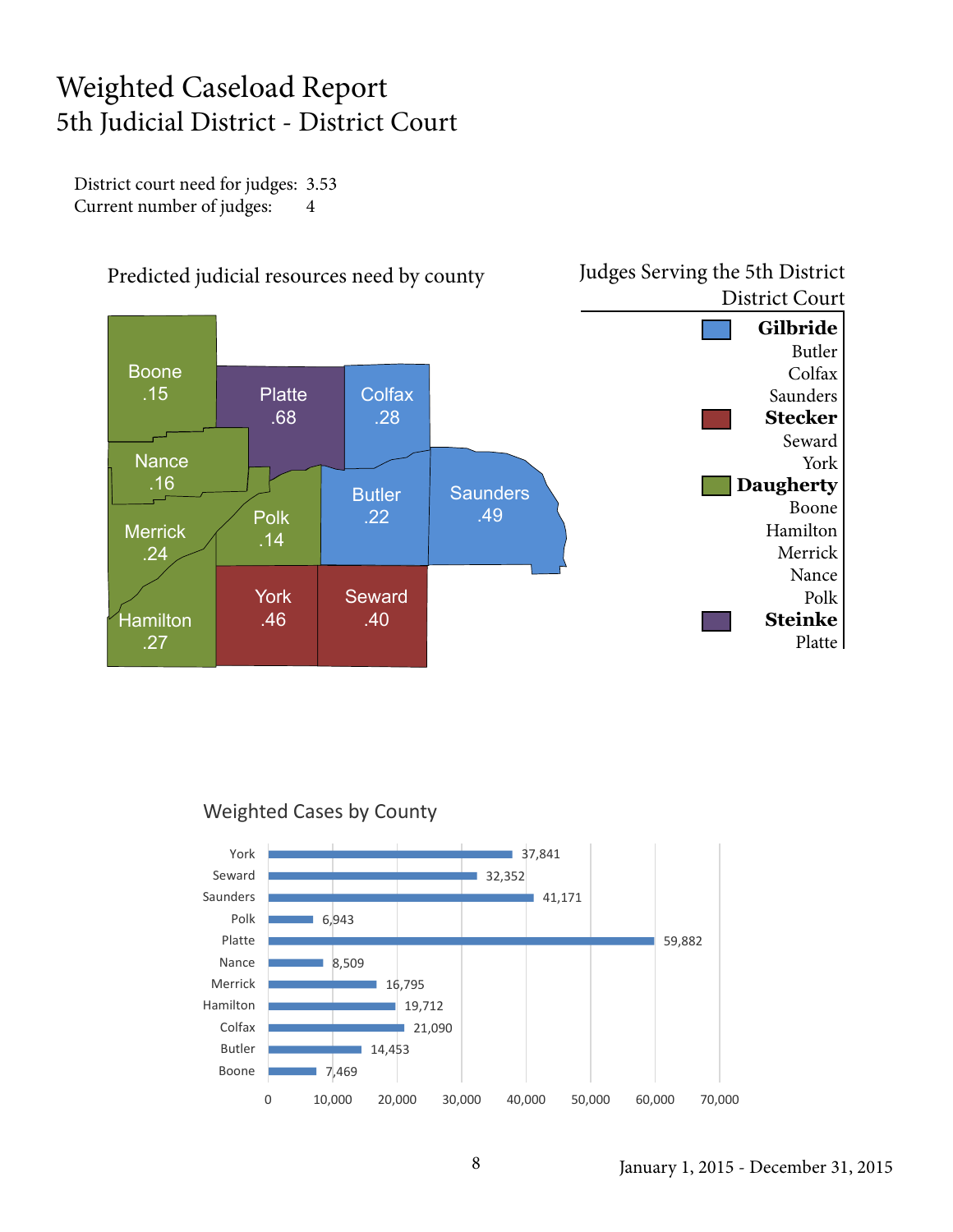## Weighted Caseload Report 5th Judicial District - District Court

District court need for judges: 3.53 Current number of judges: 4



![](_page_7_Figure_3.jpeg)

![](_page_7_Figure_4.jpeg)

Judges Serving the 5th District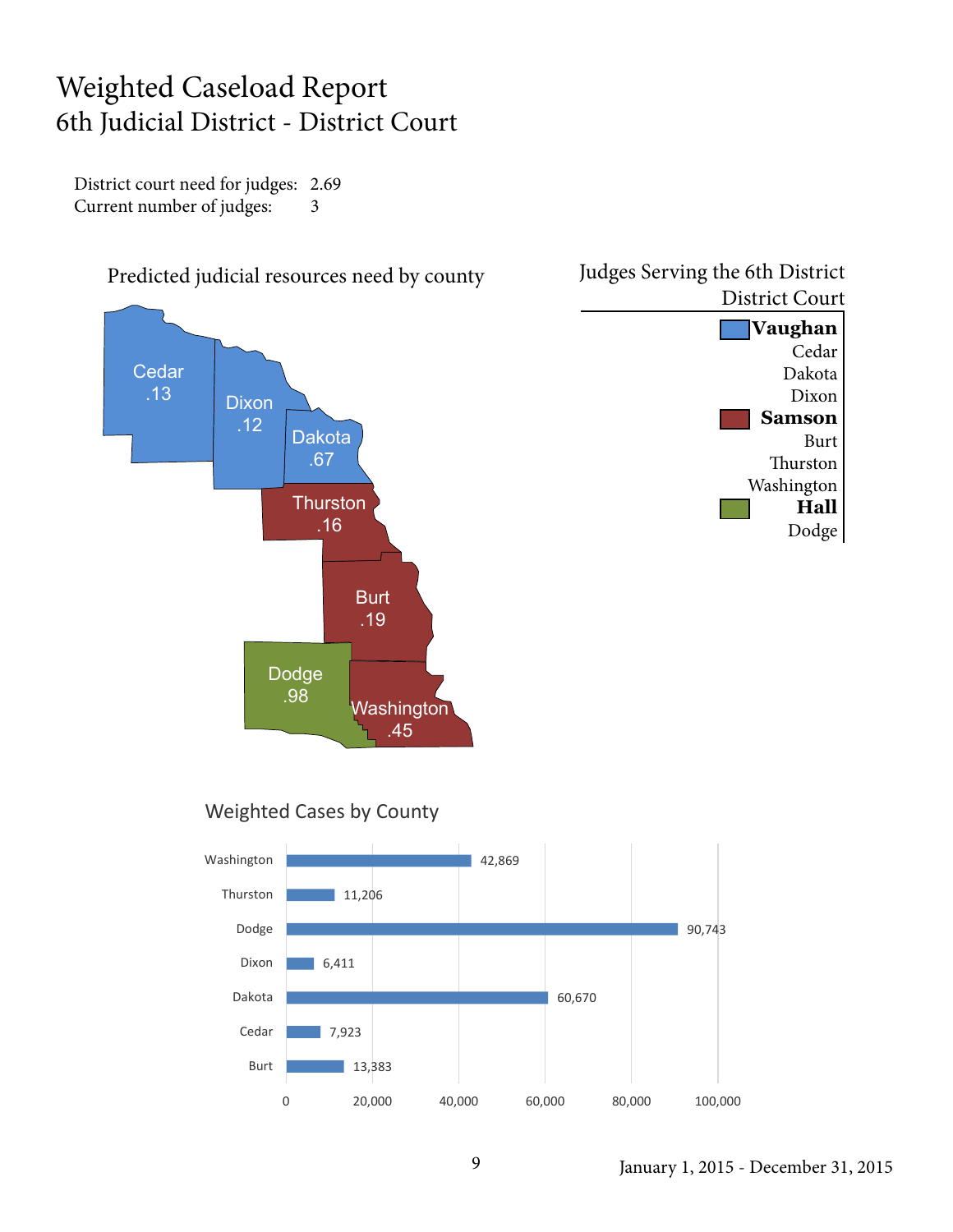#### Weighted Caseload Report 6th Judicial District - District Court

District court need for judges: 2.69 Current number of judges: 3

![](_page_8_Figure_2.jpeg)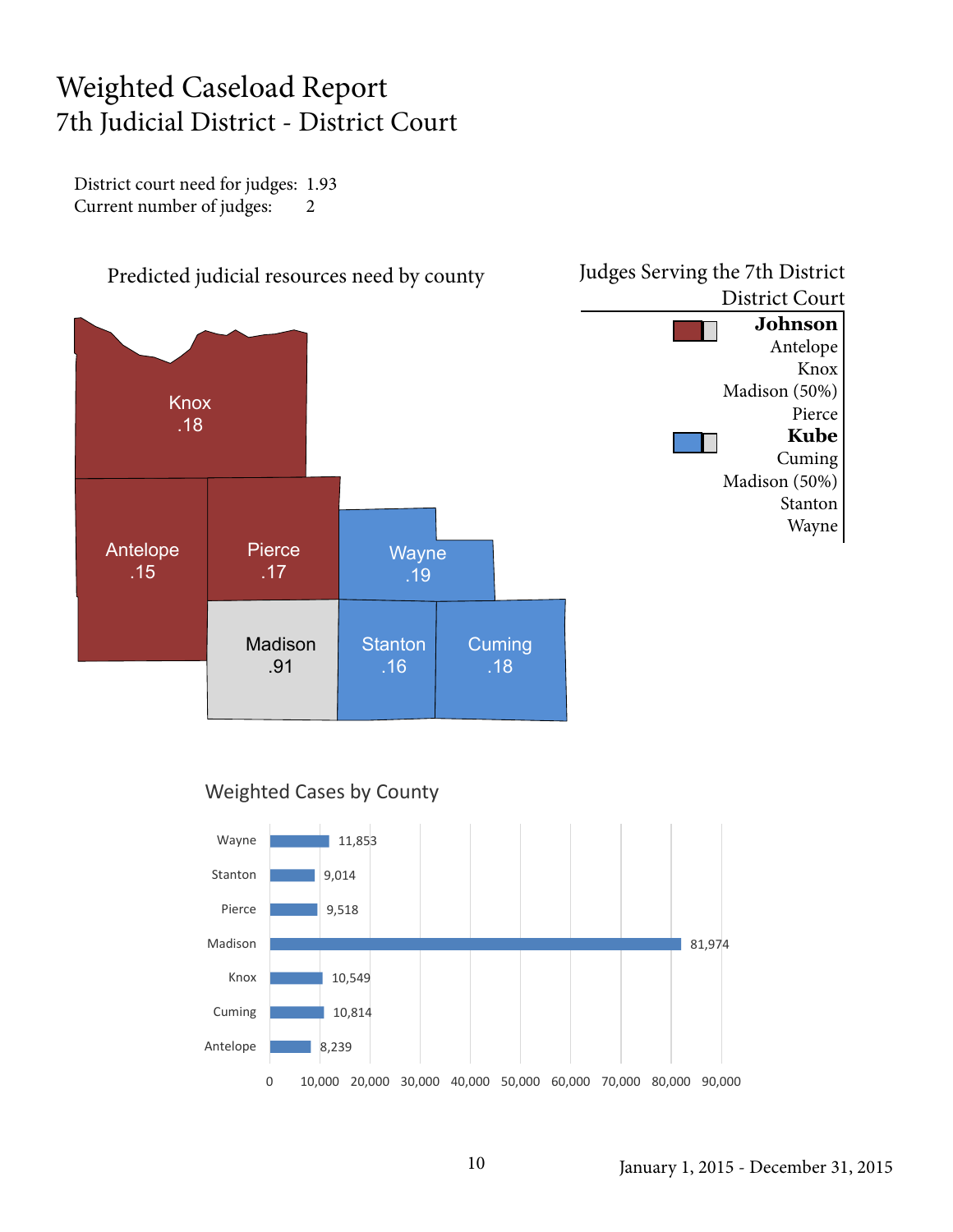## Weighted Caseload Report 7th Judicial District - District Court

District court need for judges: 1.93 Current number of judges: 2

![](_page_9_Figure_2.jpeg)

![](_page_9_Figure_3.jpeg)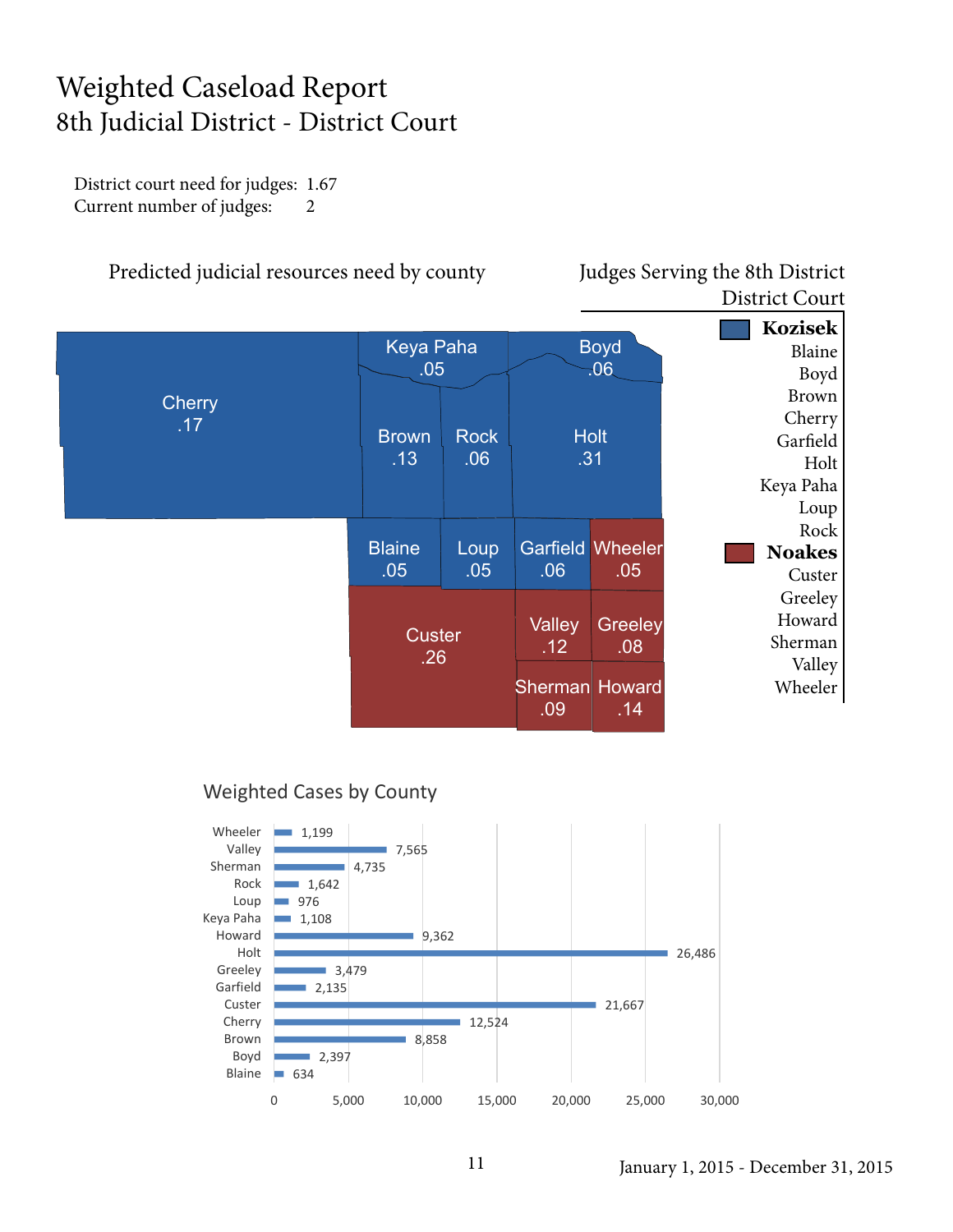### Weighted Caseload Report 8th Judicial District - District Court

District court need for judges: 1.67 Current number of judges: 2

#### Predicted judicial resources need by county Judges Serving the 8th District

## District Court

![](_page_10_Figure_4.jpeg)

![](_page_10_Figure_6.jpeg)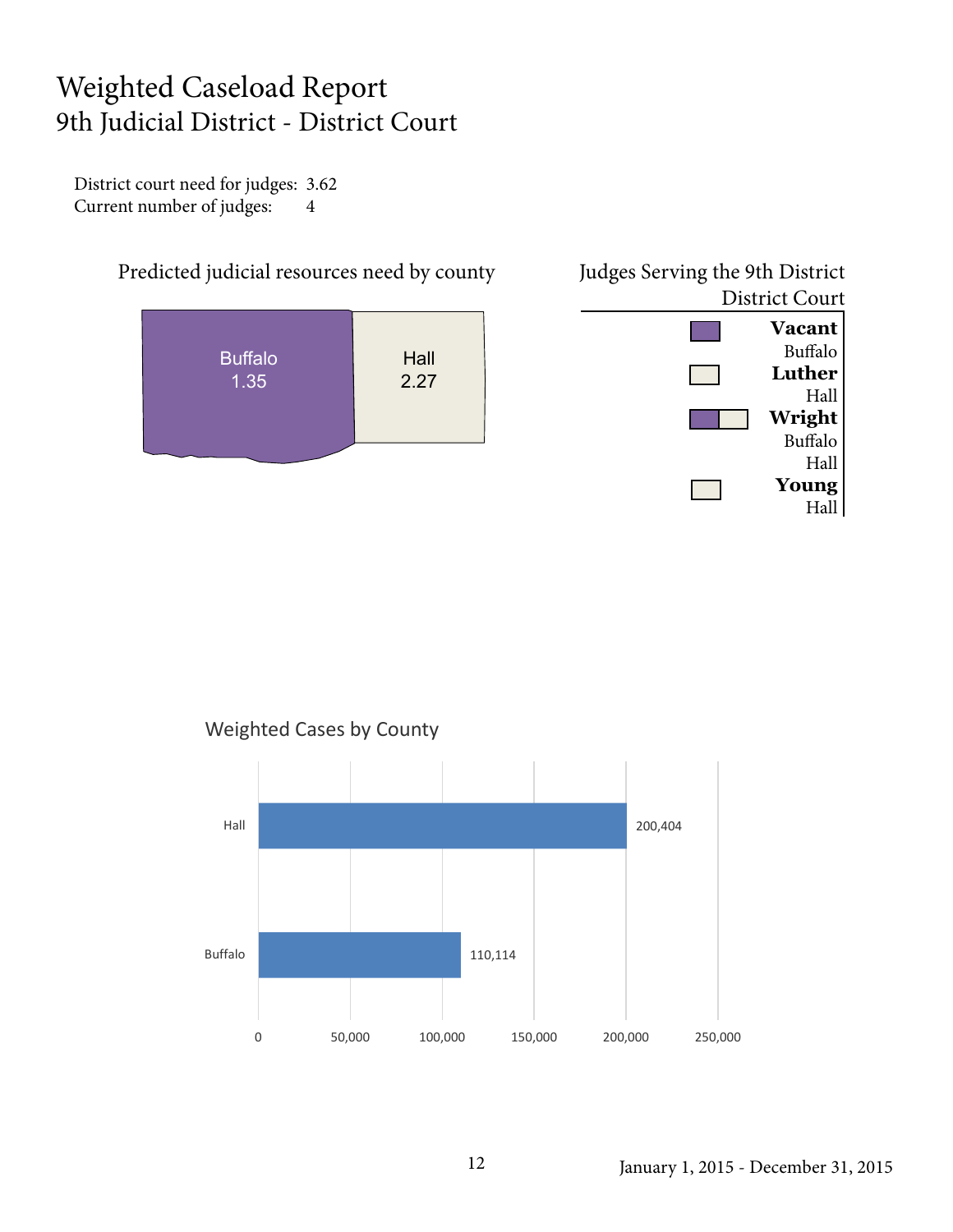## Weighted Caseload Report 9th Judicial District - District Court

District court need for judges: 3.62 Current number of judges: 4

![](_page_11_Figure_2.jpeg)

![](_page_11_Figure_3.jpeg)

![](_page_11_Figure_4.jpeg)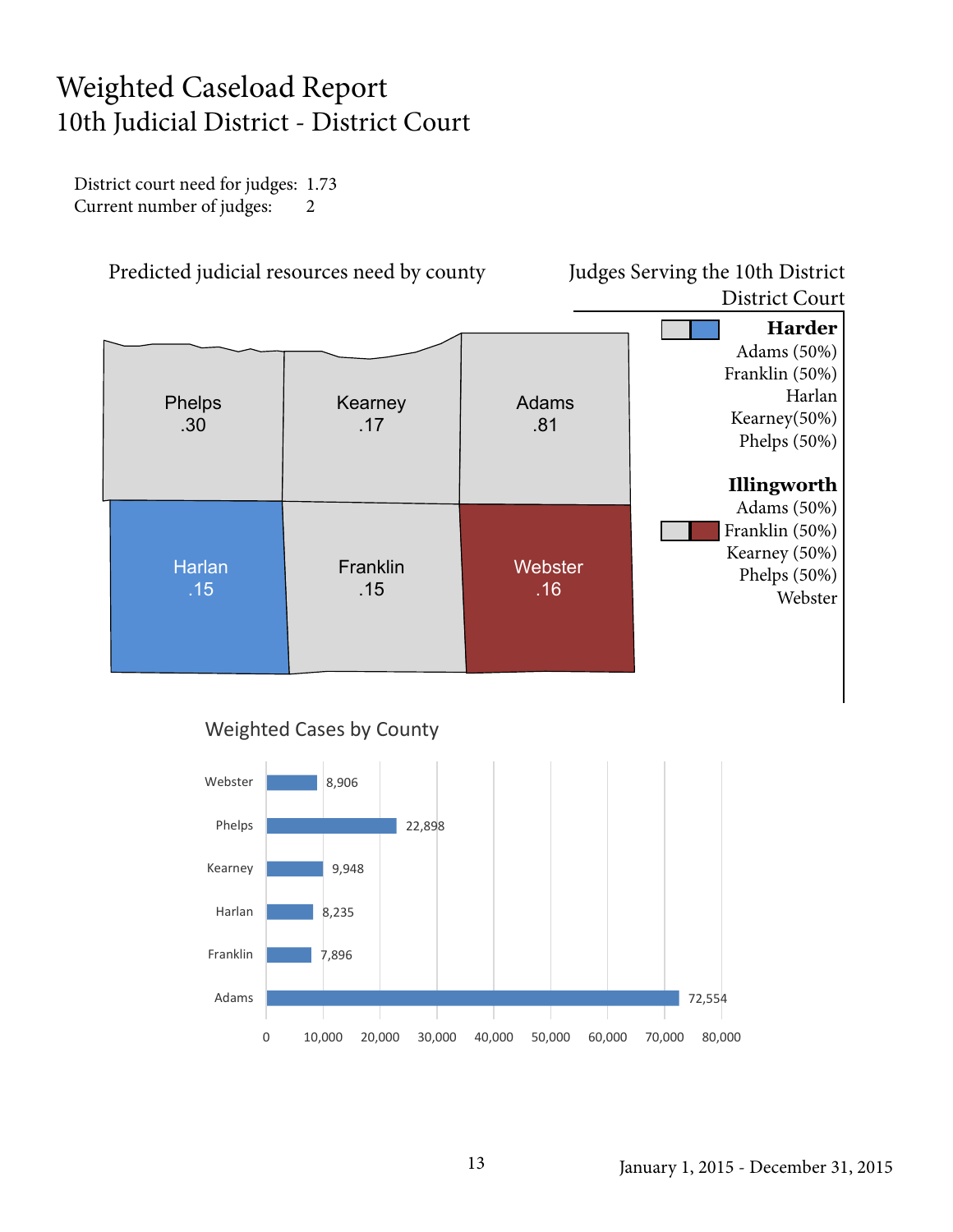## Weighted Caseload Report 10th Judicial District - District Court

District court need for judges: 1.73 Current number of judges: 2

Predicted judicial resources need by county Judges Serving the 10th District

## District Court

![](_page_12_Figure_4.jpeg)

![](_page_12_Figure_6.jpeg)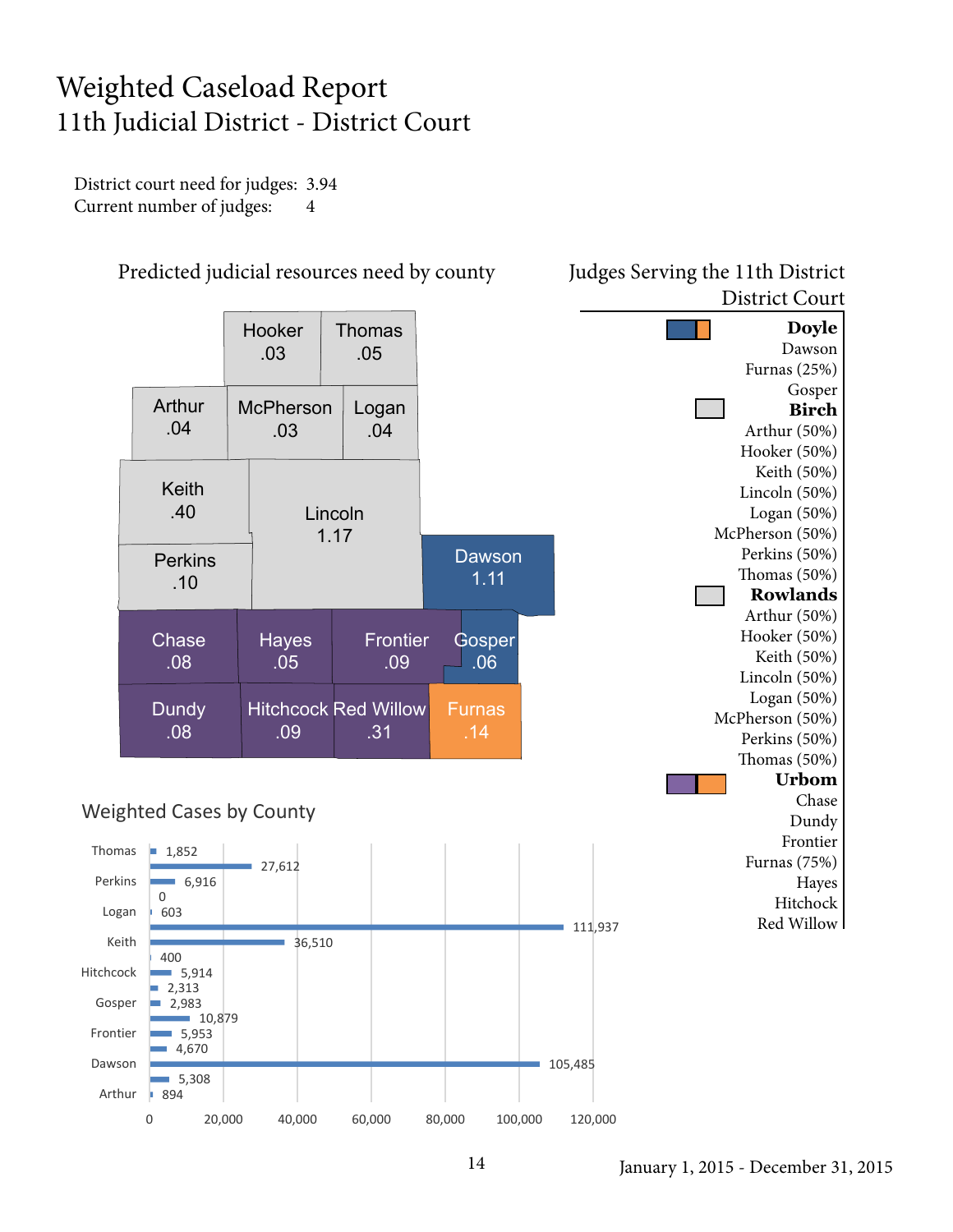## Weighted Caseload Report 11th Judicial District - District Court

District court need for judges: 3.94 Current number of judges: 4

![](_page_13_Figure_2.jpeg)

Predicted judicial resources need by county Judges Serving the 11th District